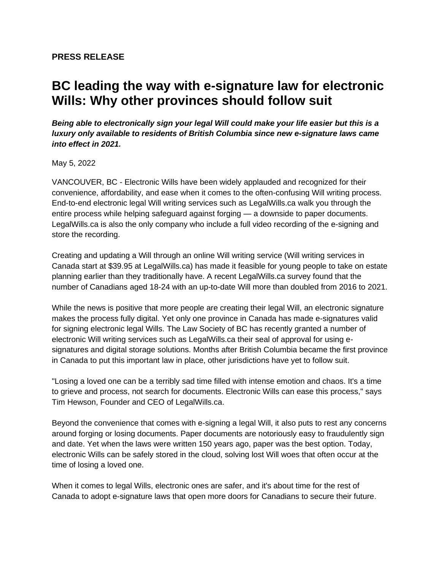## **PRESS RELEASE**

## **BC leading the way with e-signature law for electronic Wills: Why other provinces should follow suit**

*Being able to electronically sign your legal Will could make your life easier but this is a luxury only available to residents of British Columbia since new e-signature laws came into effect in 2021.* 

May 5, 2022

VANCOUVER, BC - Electronic Wills have been widely applauded and recognized for their convenience, affordability, and ease when it comes to the often-confusing Will writing process. End-to-end electronic legal Will writing services such as LegalWills.ca walk you through the entire process while helping safeguard against forging — a downside to paper documents. LegalWills.ca is also the only company who include a full video recording of the e-signing and store the recording.

Creating and updating a Will through an online Will writing service (Will writing services in Canada start at \$39.95 at LegalWills.ca) has made it feasible for young people to take on estate planning earlier than they traditionally have. A recent LegalWills.ca survey found that the number of Canadians aged 18-24 with an up-to-date Will more than doubled from 2016 to 2021.

While the news is positive that more people are creating their legal Will, an electronic signature makes the process fully digital. Yet only one province in Canada has made e-signatures valid for signing electronic legal Wills. The Law Society of BC has recently granted a number of electronic Will writing services such as LegalWills.ca their seal of approval for using esignatures and digital storage solutions. Months after British Columbia became the first province in Canada to put this important law in place, other jurisdictions have yet to follow suit.

"Losing a loved one can be a terribly sad time filled with intense emotion and chaos. It's a time to grieve and process, not search for documents. Electronic Wills can ease this process," says Tim Hewson, Founder and CEO of LegalWills.ca.

Beyond the convenience that comes with e-signing a legal Will, it also puts to rest any concerns around forging or losing documents. Paper documents are notoriously easy to fraudulently sign and date. Yet when the laws were written 150 years ago, paper was the best option. Today, electronic Wills can be safely stored in the cloud, solving lost Will woes that often occur at the time of losing a loved one.

When it comes to legal Wills, electronic ones are safer, and it's about time for the rest of Canada to adopt e-signature laws that open more doors for Canadians to secure their future.